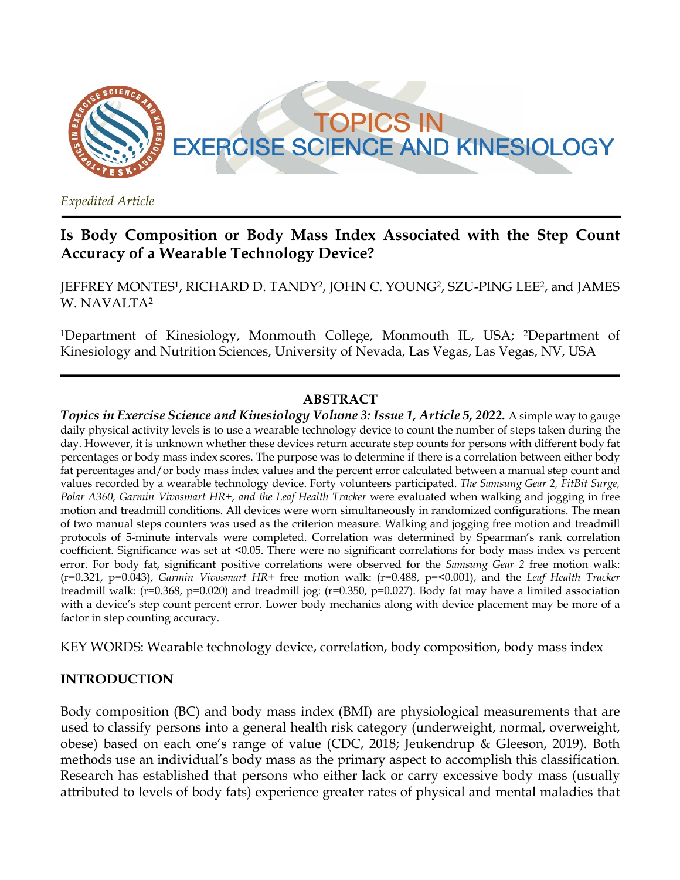

*Expedited Article*

# **Is Body Composition or Body Mass Index Associated with the Step Count Accuracy of a Wearable Technology Device?**

JEFFREY MONTES1, RICHARD D. TANDY2, JOHN C. YOUNG2, SZU-PING LEE2, and JAMES W. NAVALTA2

1Department of Kinesiology, Monmouth College, Monmouth IL, USA; 2Department of Kinesiology and Nutrition Sciences, University of Nevada, Las Vegas, Las Vegas, NV, USA

### **ABSTRACT**

*Topics in Exercise Science and Kinesiology Volume 3: Issue 1, Article 5, 2022.* A simple way to gauge daily physical activity levels is to use a wearable technology device to count the number of steps taken during the day. However, it is unknown whether these devices return accurate step counts for persons with different body fat percentages or body mass index scores. The purpose was to determine if there is a correlation between either body fat percentages and/or body mass index values and the percent error calculated between a manual step count and values recorded by a wearable technology device. Forty volunteers participated. *The Samsung Gear 2, FitBit Surge, Polar A360, Garmin Vivosmart HR+, and the Leaf Health Tracker* were evaluated when walking and jogging in free motion and treadmill conditions. All devices were worn simultaneously in randomized configurations. The mean of two manual steps counters was used as the criterion measure. Walking and jogging free motion and treadmill protocols of 5-minute intervals were completed. Correlation was determined by Spearman's rank correlation coefficient. Significance was set at <0.05. There were no significant correlations for body mass index vs percent error. For body fat, significant positive correlations were observed for the *Samsung Gear 2* free motion walk: (r=0.321, p=0.043), *Garmin Vivosmart HR+* free motion walk: (r=0.488, p=<0.001), and the *Leaf Health Tracker* treadmill walk: (r=0.368, p=0.020) and treadmill jog: (r=0.350, p=0.027). Body fat may have a limited association with a device's step count percent error. Lower body mechanics along with device placement may be more of a factor in step counting accuracy.

KEY WORDS: Wearable technology device, correlation, body composition, body mass index

#### **INTRODUCTION**

Body composition (BC) and body mass index (BMI) are physiological measurements that are used to classify persons into a general health risk category (underweight, normal, overweight, obese) based on each one's range of value (CDC, 2018; Jeukendrup & Gleeson, 2019). Both methods use an individual's body mass as the primary aspect to accomplish this classification. Research has established that persons who either lack or carry excessive body mass (usually attributed to levels of body fats) experience greater rates of physical and mental maladies that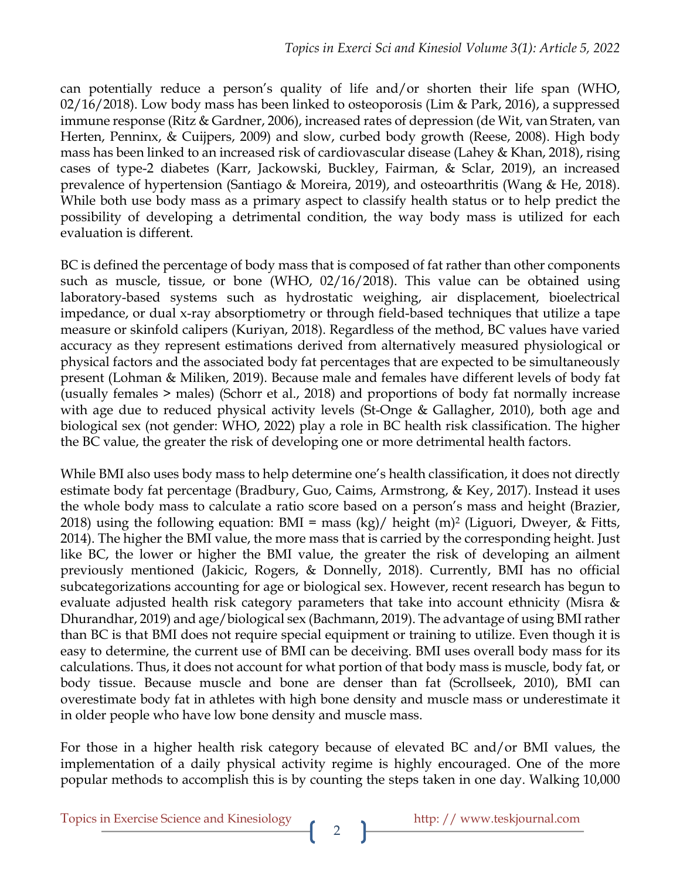can potentially reduce a person's quality of life and/or shorten their life span (WHO, 02/16/2018). Low body mass has been linked to osteoporosis (Lim & Park, 2016), a suppressed immune response (Ritz & Gardner, 2006), increased rates of depression (de Wit, van Straten, van Herten, Penninx, & Cuijpers, 2009) and slow, curbed body growth (Reese, 2008). High body mass has been linked to an increased risk of cardiovascular disease (Lahey & Khan, 2018), rising cases of type-2 diabetes (Karr, Jackowski, Buckley, Fairman, & Sclar, 2019), an increased prevalence of hypertension (Santiago & Moreira, 2019), and osteoarthritis (Wang & He, 2018). While both use body mass as a primary aspect to classify health status or to help predict the possibility of developing a detrimental condition, the way body mass is utilized for each evaluation is different.

BC is defined the percentage of body mass that is composed of fat rather than other components such as muscle, tissue, or bone (WHO, 02/16/2018). This value can be obtained using laboratory-based systems such as hydrostatic weighing, air displacement, bioelectrical impedance, or dual x-ray absorptiometry or through field-based techniques that utilize a tape measure or skinfold calipers (Kuriyan, 2018). Regardless of the method, BC values have varied accuracy as they represent estimations derived from alternatively measured physiological or physical factors and the associated body fat percentages that are expected to be simultaneously present (Lohman & Miliken, 2019). Because male and females have different levels of body fat (usually females > males) (Schorr et al., 2018) and proportions of body fat normally increase with age due to reduced physical activity levels (St-Onge & Gallagher, 2010), both age and biological sex (not gender: WHO, 2022) play a role in BC health risk classification. The higher the BC value, the greater the risk of developing one or more detrimental health factors.

While BMI also uses body mass to help determine one's health classification, it does not directly estimate body fat percentage (Bradbury, Guo, Caims, Armstrong, & Key, 2017). Instead it uses the whole body mass to calculate a ratio score based on a person's mass and height (Brazier, 2018) using the following equation: BMI = mass (kg)/ height (m)<sup>2</sup> (Liguori, Dweyer, & Fitts, 2014). The higher the BMI value, the more mass that is carried by the corresponding height. Just like BC, the lower or higher the BMI value, the greater the risk of developing an ailment previously mentioned (Jakicic, Rogers, & Donnelly, 2018). Currently, BMI has no official subcategorizations accounting for age or biological sex. However, recent research has begun to evaluate adjusted health risk category parameters that take into account ethnicity (Misra & Dhurandhar, 2019) and age/biological sex (Bachmann, 2019). The advantage of using BMI rather than BC is that BMI does not require special equipment or training to utilize. Even though it is easy to determine, the current use of BMI can be deceiving. BMI uses overall body mass for its calculations. Thus, it does not account for what portion of that body mass is muscle, body fat, or body tissue. Because muscle and bone are denser than fat (Scrollseek, 2010), BMI can overestimate body fat in athletes with high bone density and muscle mass or underestimate it in older people who have low bone density and muscle mass.

For those in a higher health risk category because of elevated BC and/or BMI values, the implementation of a daily physical activity regime is highly encouraged. One of the more popular methods to accomplish this is by counting the steps taken in one day. Walking 10,000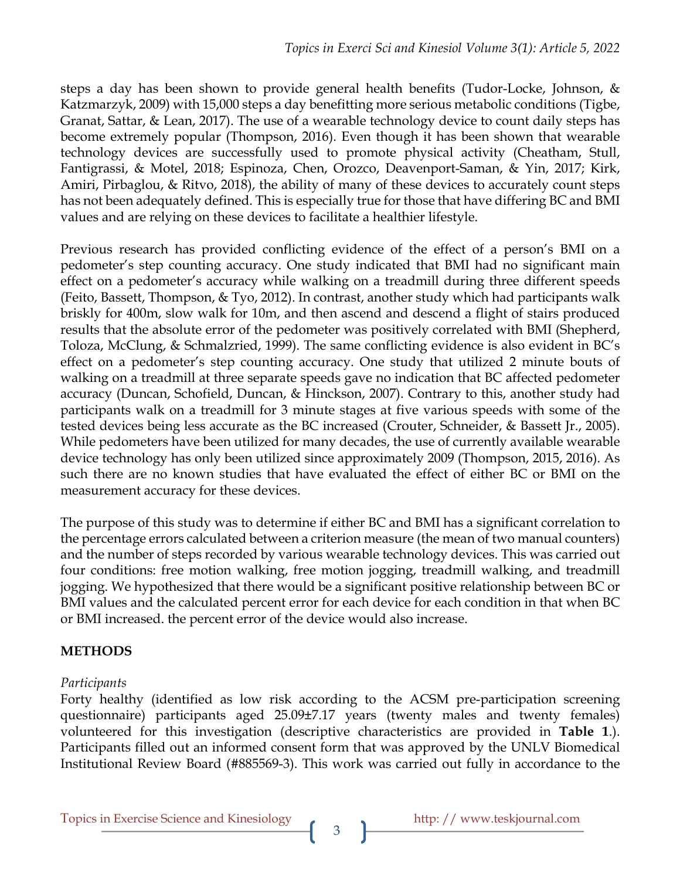steps a day has been shown to provide general health benefits (Tudor-Locke, Johnson, & Katzmarzyk, 2009) with 15,000 steps a day benefitting more serious metabolic conditions (Tigbe, Granat, Sattar, & Lean, 2017). The use of a wearable technology device to count daily steps has become extremely popular (Thompson, 2016). Even though it has been shown that wearable technology devices are successfully used to promote physical activity (Cheatham, Stull, Fantigrassi, & Motel, 2018; Espinoza, Chen, Orozco, Deavenport-Saman, & Yin, 2017; Kirk, Amiri, Pirbaglou, & Ritvo, 2018), the ability of many of these devices to accurately count steps has not been adequately defined. This is especially true for those that have differing BC and BMI values and are relying on these devices to facilitate a healthier lifestyle.

Previous research has provided conflicting evidence of the effect of a person's BMI on a pedometer's step counting accuracy. One study indicated that BMI had no significant main effect on a pedometer's accuracy while walking on a treadmill during three different speeds (Feito, Bassett, Thompson, & Tyo, 2012). In contrast, another study which had participants walk briskly for 400m, slow walk for 10m, and then ascend and descend a flight of stairs produced results that the absolute error of the pedometer was positively correlated with BMI (Shepherd, Toloza, McClung, & Schmalzried, 1999). The same conflicting evidence is also evident in BC's effect on a pedometer's step counting accuracy. One study that utilized 2 minute bouts of walking on a treadmill at three separate speeds gave no indication that BC affected pedometer accuracy (Duncan, Schofield, Duncan, & Hinckson, 2007). Contrary to this, another study had participants walk on a treadmill for 3 minute stages at five various speeds with some of the tested devices being less accurate as the BC increased (Crouter, Schneider, & Bassett Jr., 2005). While pedometers have been utilized for many decades, the use of currently available wearable device technology has only been utilized since approximately 2009 (Thompson, 2015, 2016). As such there are no known studies that have evaluated the effect of either BC or BMI on the measurement accuracy for these devices.

The purpose of this study was to determine if either BC and BMI has a significant correlation to the percentage errors calculated between a criterion measure (the mean of two manual counters) and the number of steps recorded by various wearable technology devices. This was carried out four conditions: free motion walking, free motion jogging, treadmill walking, and treadmill jogging. We hypothesized that there would be a significant positive relationship between BC or BMI values and the calculated percent error for each device for each condition in that when BC or BMI increased. the percent error of the device would also increase.

## **METHODS**

### *Participants*

Forty healthy (identified as low risk according to the ACSM pre-participation screening questionnaire) participants aged 25.09±7.17 years (twenty males and twenty females) volunteered for this investigation (descriptive characteristics are provided in **Table 1**.). Participants filled out an informed consent form that was approved by the UNLV Biomedical Institutional Review Board (#885569-3). This work was carried out fully in accordance to the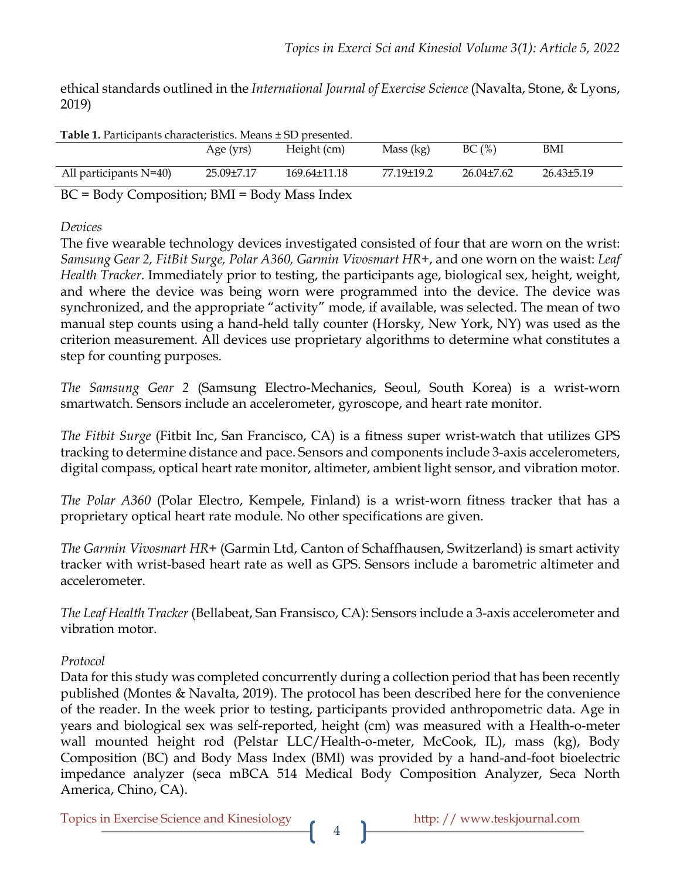ethical standards outlined in the *International Journal of Exercise Science* (Navalta, Stone, & Lyons, 2019)

| <b>Table 1.</b> Participants characteristics. Means $\pm$ SD presented. |                                                                  |                    |            |                |                |  |  |
|-------------------------------------------------------------------------|------------------------------------------------------------------|--------------------|------------|----------------|----------------|--|--|
|                                                                         | Age (yrs)                                                        | Height (cm)        | Mass (kg)  | BC(%)          | BMI            |  |  |
|                                                                         |                                                                  |                    |            |                |                |  |  |
| All participants $N=40$ )                                               | 25.09±7.17                                                       | $169.64 \pm 11.18$ | 77.19±19.2 | $26.04\pm7.62$ | $26.43\pm5.19$ |  |  |
| $\mathbf{R} \cap \mathbf{R}$<br>$\cdot$                                 | $\mathbf{D}$ $\mathbf{r}$ $\mathbf{D}$ $\mathbf{r}$ $\mathbf{r}$ |                    |            |                |                |  |  |

BC = Body Composition; BMI = Body Mass Index

*Devices*

The five wearable technology devices investigated consisted of four that are worn on the wrist: *Samsung Gear 2, FitBit Surge, Polar A360, Garmin Vivosmart HR+*, and one worn on the waist: *Leaf Health Tracker*. Immediately prior to testing, the participants age, biological sex, height, weight, and where the device was being worn were programmed into the device. The device was synchronized, and the appropriate "activity" mode, if available, was selected. The mean of two manual step counts using a hand-held tally counter (Horsky, New York, NY) was used as the criterion measurement. All devices use proprietary algorithms to determine what constitutes a step for counting purposes.

*The Samsung Gear 2* (Samsung Electro-Mechanics, Seoul, South Korea) is a wrist-worn smartwatch. Sensors include an accelerometer, gyroscope, and heart rate monitor.

*The Fitbit Surge* (Fitbit Inc, San Francisco, CA) is a fitness super wrist-watch that utilizes GPS tracking to determine distance and pace. Sensors and components include 3-axis accelerometers, digital compass, optical heart rate monitor, altimeter, ambient light sensor, and vibration motor.

*The Polar A360* (Polar Electro, Kempele, Finland) is a wrist-worn fitness tracker that has a proprietary optical heart rate module. No other specifications are given.

*The Garmin Vivosmart HR+* (Garmin Ltd, Canton of Schaffhausen, Switzerland) is smart activity tracker with wrist-based heart rate as well as GPS. Sensors include a barometric altimeter and accelerometer.

*The Leaf Health Tracker* (Bellabeat, San Fransisco, CA): Sensors include a 3-axis accelerometer and vibration motor.

### *Protocol*

Data for this study was completed concurrently during a collection period that has been recently published (Montes & Navalta, 2019). The protocol has been described here for the convenience of the reader. In the week prior to testing, participants provided anthropometric data. Age in years and biological sex was self-reported, height (cm) was measured with a Health-o-meter wall mounted height rod (Pelstar LLC/Health-o-meter, McCook, IL), mass (kg), Body Composition (BC) and Body Mass Index (BMI) was provided by a hand-and-foot bioelectric impedance analyzer (seca mBCA 514 Medical Body Composition Analyzer, Seca North America, Chino, CA).

Topics in Exercise Science and Kinesiology http: // www.teskjournal.com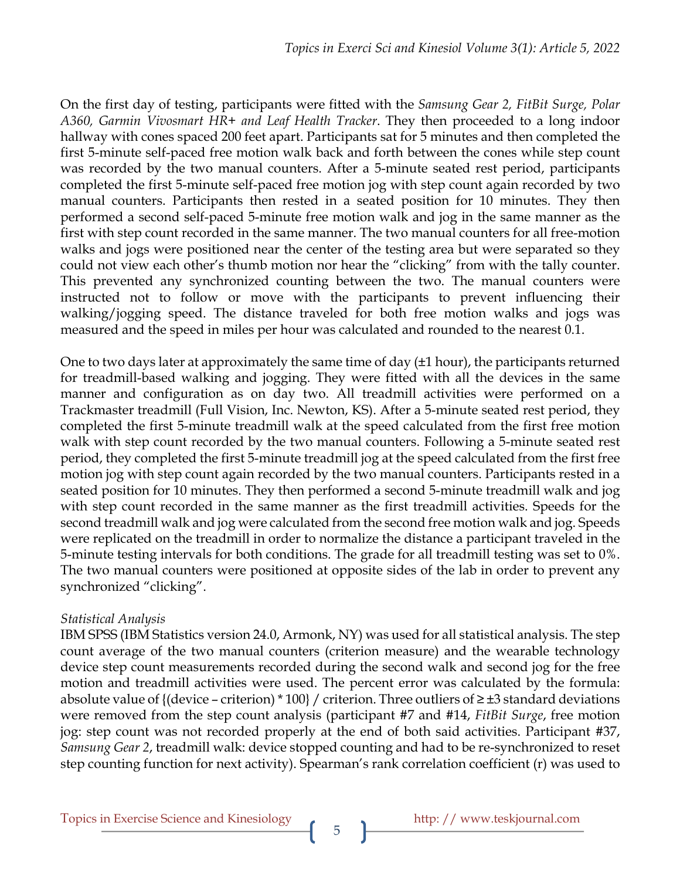On the first day of testing, participants were fitted with the *Samsung Gear 2, FitBit Surge, Polar A360, Garmin Vivosmart HR+ and Leaf Health Tracker*. They then proceeded to a long indoor hallway with cones spaced 200 feet apart. Participants sat for 5 minutes and then completed the first 5-minute self-paced free motion walk back and forth between the cones while step count was recorded by the two manual counters. After a 5-minute seated rest period, participants completed the first 5-minute self-paced free motion jog with step count again recorded by two manual counters. Participants then rested in a seated position for 10 minutes. They then performed a second self-paced 5-minute free motion walk and jog in the same manner as the first with step count recorded in the same manner. The two manual counters for all free-motion walks and jogs were positioned near the center of the testing area but were separated so they could not view each other's thumb motion nor hear the "clicking" from with the tally counter. This prevented any synchronized counting between the two. The manual counters were instructed not to follow or move with the participants to prevent influencing their walking/jogging speed. The distance traveled for both free motion walks and jogs was measured and the speed in miles per hour was calculated and rounded to the nearest 0.1.

One to two days later at approximately the same time of day (±1 hour), the participants returned for treadmill-based walking and jogging. They were fitted with all the devices in the same manner and configuration as on day two. All treadmill activities were performed on a Trackmaster treadmill (Full Vision, Inc. Newton, KS). After a 5-minute seated rest period, they completed the first 5-minute treadmill walk at the speed calculated from the first free motion walk with step count recorded by the two manual counters. Following a 5-minute seated rest period, they completed the first 5-minute treadmill jog at the speed calculated from the first free motion jog with step count again recorded by the two manual counters. Participants rested in a seated position for 10 minutes. They then performed a second 5-minute treadmill walk and jog with step count recorded in the same manner as the first treadmill activities. Speeds for the second treadmill walk and jog were calculated from the second free motion walk and jog. Speeds were replicated on the treadmill in order to normalize the distance a participant traveled in the 5-minute testing intervals for both conditions. The grade for all treadmill testing was set to 0%. The two manual counters were positioned at opposite sides of the lab in order to prevent any synchronized "clicking".

### *Statistical Analysis*

IBM SPSS (IBM Statistics version 24.0, Armonk, NY) was used for all statistical analysis. The step count average of the two manual counters (criterion measure) and the wearable technology device step count measurements recorded during the second walk and second jog for the free motion and treadmill activities were used. The percent error was calculated by the formula: absolute value of {(device – criterion) \* 100} / criterion. Three outliers of  $\geq \pm 3$  standard deviations were removed from the step count analysis (participant #7 and #14, *FitBit Surge*, free motion jog: step count was not recorded properly at the end of both said activities. Participant #37, *Samsung Gear 2*, treadmill walk: device stopped counting and had to be re-synchronized to reset step counting function for next activity). Spearman's rank correlation coefficient (r) was used to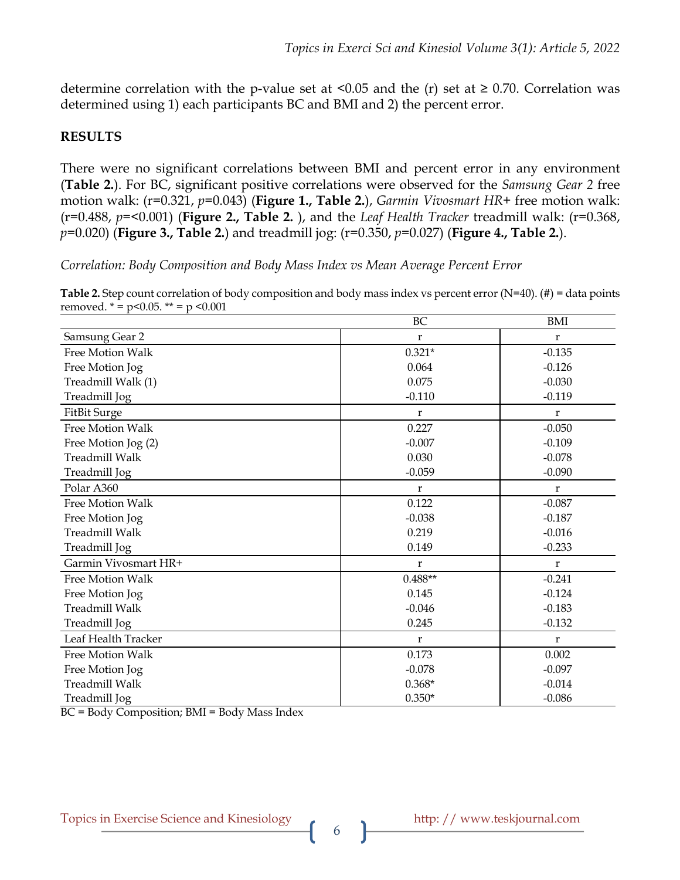determine correlation with the p-value set at  $\leq 0.05$  and the (r) set at  $\geq 0.70$ . Correlation was determined using 1) each participants BC and BMI and 2) the percent error.

## **RESULTS**

There were no significant correlations between BMI and percent error in any environment (**Table 2.**). For BC, significant positive correlations were observed for the *Samsung Gear 2* free motion walk: (r=0.321, *p*=0.043) (**Figure 1., Table 2.**), *Garmin Vivosmart HR+* free motion walk: (r=0.488, *p*=<0.001) (**Figure 2., Table 2.** ), and the *Leaf Health Tracker* treadmill walk: (r=0.368, *p*=0.020) (**Figure 3., Table 2.**) and treadmill jog: (r=0.350, *p*=0.027) (**Figure 4., Table 2.**).

*Correlation: Body Composition and Body Mass Index vs Mean Average Percent Error*

**Table 2.** Step count correlation of body composition and body mass index vs percent error (N=40). (#) = data points removed.  $* = p < 0.05$ .  $** = p < 0.001$ 

|                         | BC        | <b>BMI</b>  |
|-------------------------|-----------|-------------|
| Samsung Gear 2          | r         | r           |
| <b>Free Motion Walk</b> | $0.321*$  | $-0.135$    |
| Free Motion Jog         | 0.064     | $-0.126$    |
| Treadmill Walk (1)      | 0.075     | $-0.030$    |
| Treadmill Jog           | $-0.110$  | $-0.119$    |
| <b>FitBit Surge</b>     | r         | $\bf r$     |
| Free Motion Walk        | 0.227     | $-0.050$    |
| Free Motion Jog (2)     | $-0.007$  | $-0.109$    |
| <b>Treadmill Walk</b>   | 0.030     | $-0.078$    |
| Treadmill Jog           | $-0.059$  | $-0.090$    |
| Polar A360              | r         | $\mathbf r$ |
| <b>Free Motion Walk</b> | 0.122     | $-0.087$    |
| Free Motion Jog         | $-0.038$  | $-0.187$    |
| <b>Treadmill Walk</b>   | 0.219     | $-0.016$    |
| Treadmill Jog           | 0.149     | $-0.233$    |
| Garmin Vivosmart HR+    | r         | $\mathbf r$ |
| <b>Free Motion Walk</b> | $0.488**$ | $-0.241$    |
| Free Motion Jog         | 0.145     | $-0.124$    |
| Treadmill Walk          | $-0.046$  | $-0.183$    |
| Treadmill Jog           | 0.245     | $-0.132$    |
| Leaf Health Tracker     | r         | $\mathbf r$ |
| <b>Free Motion Walk</b> | 0.173     | 0.002       |
| Free Motion Jog         | $-0.078$  | $-0.097$    |
| <b>Treadmill Walk</b>   | $0.368*$  | $-0.014$    |
| Treadmill Jog           | $0.350*$  | $-0.086$    |

BC = Body Composition; BMI = Body Mass Index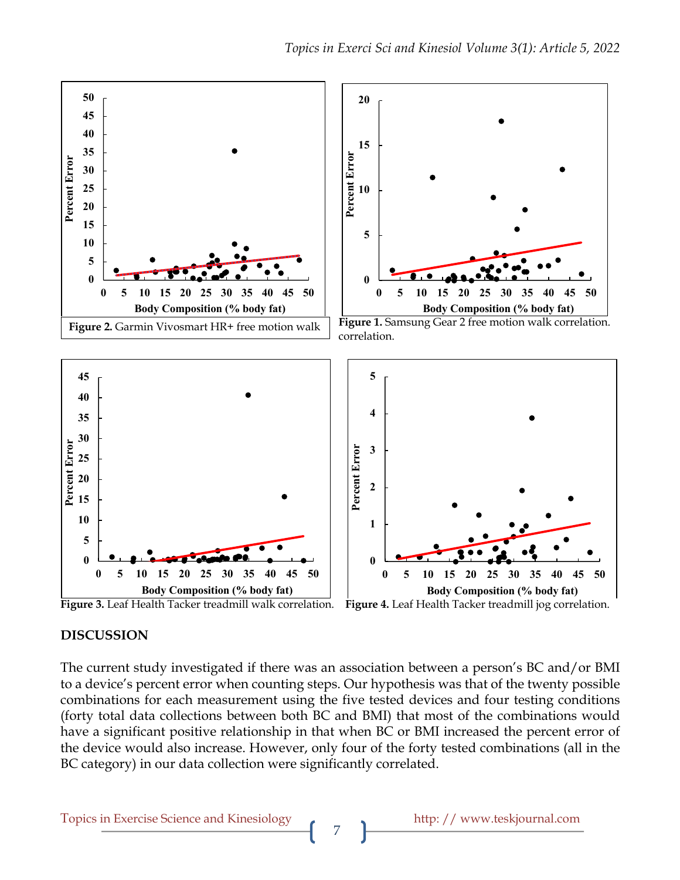

 **Figure 3.** Leaf Health Tacker treadmill walk correlation. **Figure 4.** Leaf Health Tacker treadmill jog correlation.

### **DISCUSSION**

The current study investigated if there was an association between a person's BC and/or BMI to a device's percent error when counting steps. Our hypothesis was that of the twenty possible combinations for each measurement using the five tested devices and four testing conditions (forty total data collections between both BC and BMI) that most of the combinations would have a significant positive relationship in that when BC or BMI increased the percent error of the device would also increase. However, only four of the forty tested combinations (all in the BC category) in our data collection were significantly correlated.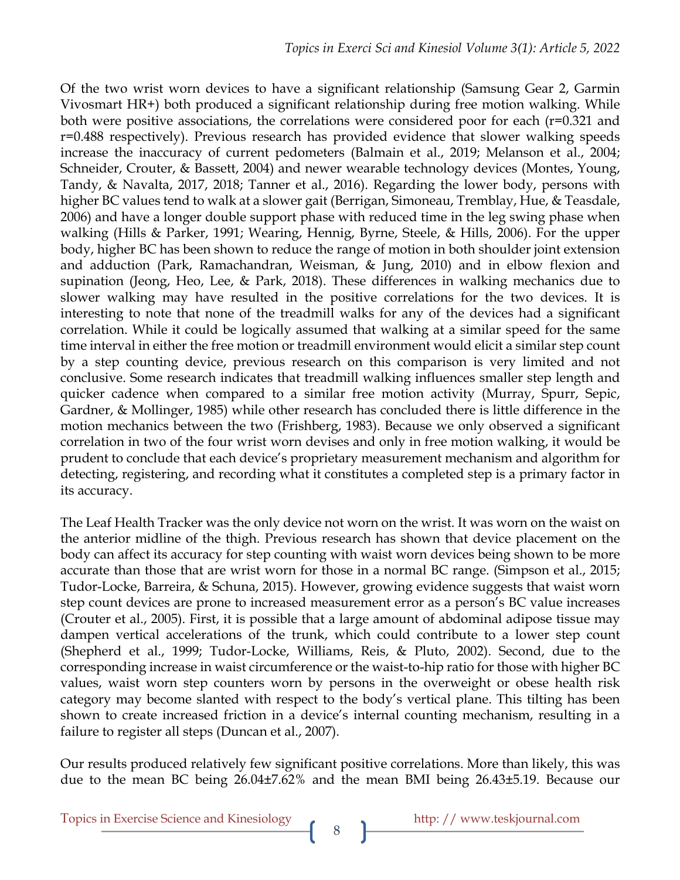Of the two wrist worn devices to have a significant relationship (Samsung Gear 2, Garmin Vivosmart HR+) both produced a significant relationship during free motion walking. While both were positive associations, the correlations were considered poor for each (r=0.321 and r=0.488 respectively). Previous research has provided evidence that slower walking speeds increase the inaccuracy of current pedometers (Balmain et al., 2019; Melanson et al., 2004; Schneider, Crouter, & Bassett, 2004) and newer wearable technology devices (Montes, Young, Tandy, & Navalta, 2017, 2018; Tanner et al., 2016). Regarding the lower body, persons with higher BC values tend to walk at a slower gait (Berrigan, Simoneau, Tremblay, Hue, & Teasdale, 2006) and have a longer double support phase with reduced time in the leg swing phase when walking (Hills & Parker, 1991; Wearing, Hennig, Byrne, Steele, & Hills, 2006). For the upper body, higher BC has been shown to reduce the range of motion in both shoulder joint extension and adduction (Park, Ramachandran, Weisman, & Jung, 2010) and in elbow flexion and supination (Jeong, Heo, Lee, & Park, 2018). These differences in walking mechanics due to slower walking may have resulted in the positive correlations for the two devices. It is interesting to note that none of the treadmill walks for any of the devices had a significant correlation. While it could be logically assumed that walking at a similar speed for the same time interval in either the free motion or treadmill environment would elicit a similar step count by a step counting device, previous research on this comparison is very limited and not conclusive. Some research indicates that treadmill walking influences smaller step length and quicker cadence when compared to a similar free motion activity (Murray, Spurr, Sepic, Gardner, & Mollinger, 1985) while other research has concluded there is little difference in the motion mechanics between the two (Frishberg, 1983). Because we only observed a significant correlation in two of the four wrist worn devises and only in free motion walking, it would be prudent to conclude that each device's proprietary measurement mechanism and algorithm for detecting, registering, and recording what it constitutes a completed step is a primary factor in its accuracy.

The Leaf Health Tracker was the only device not worn on the wrist. It was worn on the waist on the anterior midline of the thigh. Previous research has shown that device placement on the body can affect its accuracy for step counting with waist worn devices being shown to be more accurate than those that are wrist worn for those in a normal BC range. (Simpson et al., 2015; Tudor-Locke, Barreira, & Schuna, 2015). However, growing evidence suggests that waist worn step count devices are prone to increased measurement error as a person's BC value increases (Crouter et al., 2005). First, it is possible that a large amount of abdominal adipose tissue may dampen vertical accelerations of the trunk, which could contribute to a lower step count (Shepherd et al., 1999; Tudor-Locke, Williams, Reis, & Pluto, 2002). Second, due to the corresponding increase in waist circumference or the waist-to-hip ratio for those with higher BC values, waist worn step counters worn by persons in the overweight or obese health risk category may become slanted with respect to the body's vertical plane. This tilting has been shown to create increased friction in a device's internal counting mechanism, resulting in a failure to register all steps (Duncan et al., 2007).

Our results produced relatively few significant positive correlations. More than likely, this was due to the mean BC being 26.04±7.62% and the mean BMI being 26.43±5.19. Because our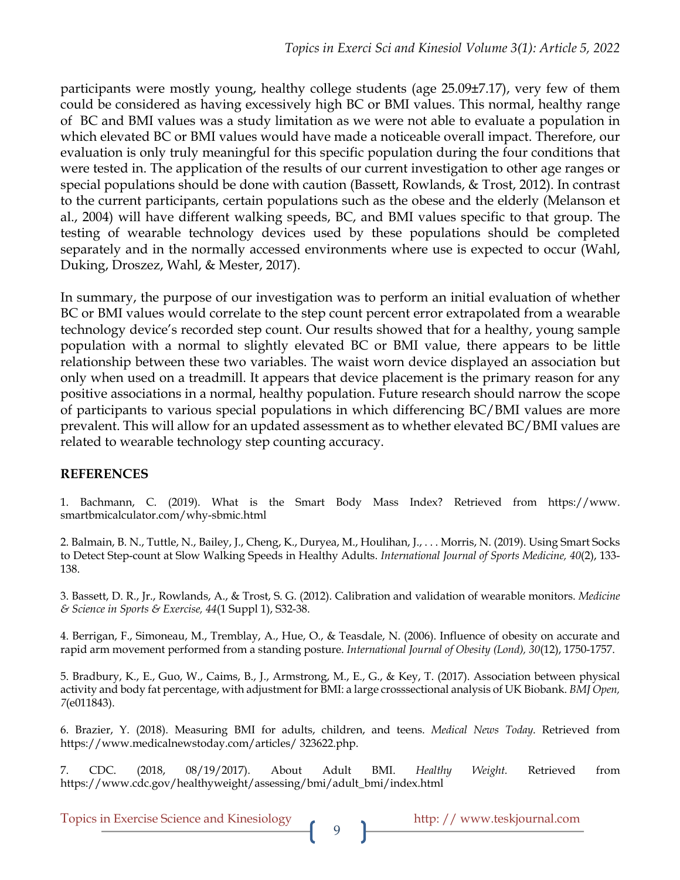participants were mostly young, healthy college students (age 25.09±7.17), very few of them could be considered as having excessively high BC or BMI values. This normal, healthy range of BC and BMI values was a study limitation as we were not able to evaluate a population in which elevated BC or BMI values would have made a noticeable overall impact. Therefore, our evaluation is only truly meaningful for this specific population during the four conditions that were tested in. The application of the results of our current investigation to other age ranges or special populations should be done with caution (Bassett, Rowlands, & Trost, 2012). In contrast to the current participants, certain populations such as the obese and the elderly (Melanson et al., 2004) will have different walking speeds, BC, and BMI values specific to that group. The testing of wearable technology devices used by these populations should be completed separately and in the normally accessed environments where use is expected to occur (Wahl, Duking, Droszez, Wahl, & Mester, 2017).

In summary, the purpose of our investigation was to perform an initial evaluation of whether BC or BMI values would correlate to the step count percent error extrapolated from a wearable technology device's recorded step count. Our results showed that for a healthy, young sample population with a normal to slightly elevated BC or BMI value, there appears to be little relationship between these two variables. The waist worn device displayed an association but only when used on a treadmill. It appears that device placement is the primary reason for any positive associations in a normal, healthy population. Future research should narrow the scope of participants to various special populations in which differencing BC/BMI values are more prevalent. This will allow for an updated assessment as to whether elevated BC/BMI values are related to wearable technology step counting accuracy.

### **REFERENCES**

1. Bachmann, C. (2019). What is the Smart Body Mass Index? Retrieved from https://www. smartbmicalculator.com/why-sbmic.html

2. Balmain, B. N., Tuttle, N., Bailey, J., Cheng, K., Duryea, M., Houlihan, J., . . . Morris, N. (2019). Using Smart Socks to Detect Step-count at Slow Walking Speeds in Healthy Adults. *International Journal of Sports Medicine, 40*(2), 133- 138.

3. Bassett, D. R., Jr., Rowlands, A., & Trost, S. G. (2012). Calibration and validation of wearable monitors. *Medicine & Science in Sports & Exercise, 44*(1 Suppl 1), S32-38.

4. Berrigan, F., Simoneau, M., Tremblay, A., Hue, O., & Teasdale, N. (2006). Influence of obesity on accurate and rapid arm movement performed from a standing posture. *International Journal of Obesity (Lond), 30*(12), 1750-1757.

5. Bradbury, K., E., Guo, W., Caims, B., J., Armstrong, M., E., G., & Key, T. (2017). Association between physical activity and body fat percentage, with adjustment for BMI: a large crosssectional analysis of UK Biobank. *BMJ Open, 7*(e011843).

6. Brazier, Y. (2018). Measuring BMI for adults, children, and teens. *Medical News Today*. Retrieved from https://www.medicalnewstoday.com/articles/ 323622.php.

7. CDC. (2018, 08/19/2017). About Adult BMI. *Healthy Weight.* Retrieved from https://www.cdc.gov/healthyweight/assessing/bmi/adult\_bmi/index.html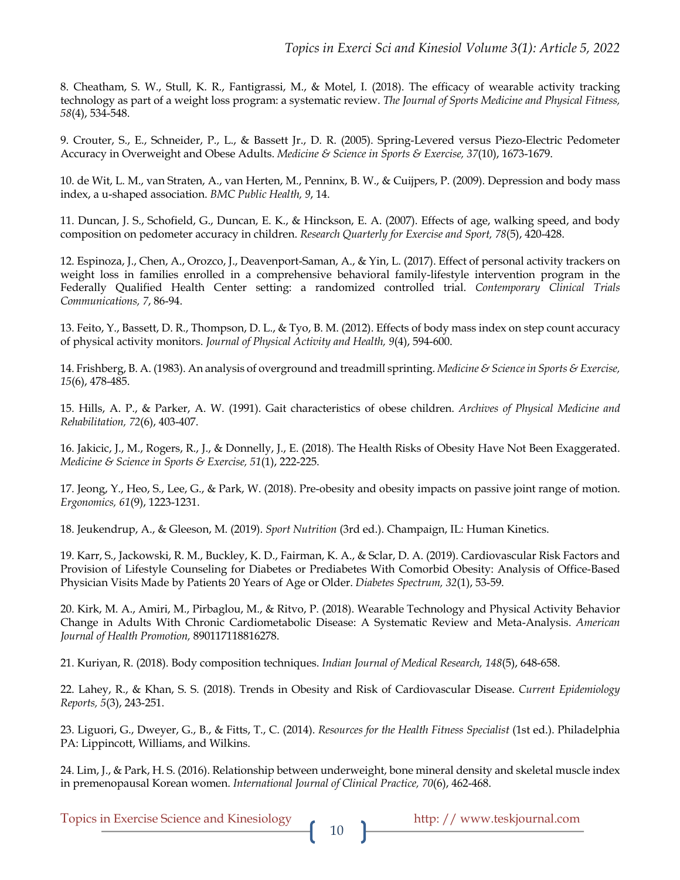8. Cheatham, S. W., Stull, K. R., Fantigrassi, M., & Motel, I. (2018). The efficacy of wearable activity tracking technology as part of a weight loss program: a systematic review. *The Journal of Sports Medicine and Physical Fitness, 58*(4), 534-548.

9. Crouter, S., E., Schneider, P., L., & Bassett Jr., D. R. (2005). Spring-Levered versus Piezo-Electric Pedometer Accuracy in Overweight and Obese Adults. *Medicine & Science in Sports & Exercise, 37*(10), 1673-1679.

10. de Wit, L. M., van Straten, A., van Herten, M., Penninx, B. W., & Cuijpers, P. (2009). Depression and body mass index, a u-shaped association. *BMC Public Health, 9*, 14.

11. Duncan, J. S., Schofield, G., Duncan, E. K., & Hinckson, E. A. (2007). Effects of age, walking speed, and body composition on pedometer accuracy in children. *Research Quarterly for Exercise and Sport, 78*(5), 420-428.

12. Espinoza, J., Chen, A., Orozco, J., Deavenport-Saman, A., & Yin, L. (2017). Effect of personal activity trackers on weight loss in families enrolled in a comprehensive behavioral family-lifestyle intervention program in the Federally Qualified Health Center setting: a randomized controlled trial. *Contemporary Clinical Trials Communications, 7*, 86-94.

13. Feito, Y., Bassett, D. R., Thompson, D. L., & Tyo, B. M. (2012). Effects of body mass index on step count accuracy of physical activity monitors. *Journal of Physical Activity and Health, 9*(4), 594-600.

14. Frishberg, B. A. (1983). An analysis of overground and treadmill sprinting. *Medicine & Science in Sports & Exercise, 15*(6), 478-485.

15. Hills, A. P., & Parker, A. W. (1991). Gait characteristics of obese children. *Archives of Physical Medicine and Rehabilitation, 72*(6), 403-407.

16. Jakicic, J., M., Rogers, R., J., & Donnelly, J., E. (2018). The Health Risks of Obesity Have Not Been Exaggerated. *Medicine & Science in Sports & Exercise, 51*(1), 222-225.

17. Jeong, Y., Heo, S., Lee, G., & Park, W. (2018). Pre-obesity and obesity impacts on passive joint range of motion. *Ergonomics, 61*(9), 1223-1231.

18. Jeukendrup, A., & Gleeson, M. (2019). *Sport Nutrition* (3rd ed.). Champaign, IL: Human Kinetics.

19. Karr, S., Jackowski, R. M., Buckley, K. D., Fairman, K. A., & Sclar, D. A. (2019). Cardiovascular Risk Factors and Provision of Lifestyle Counseling for Diabetes or Prediabetes With Comorbid Obesity: Analysis of Office-Based Physician Visits Made by Patients 20 Years of Age or Older. *Diabetes Spectrum, 32*(1), 53-59.

20. Kirk, M. A., Amiri, M., Pirbaglou, M., & Ritvo, P. (2018). Wearable Technology and Physical Activity Behavior Change in Adults With Chronic Cardiometabolic Disease: A Systematic Review and Meta-Analysis. *American Journal of Health Promotion,* 890117118816278.

21. Kuriyan, R. (2018). Body composition techniques. *Indian Journal of Medical Research, 148*(5), 648-658.

22. Lahey, R., & Khan, S. S. (2018). Trends in Obesity and Risk of Cardiovascular Disease. *Current Epidemiology Reports, 5*(3), 243-251.

23. Liguori, G., Dweyer, G., B., & Fitts, T., C. (2014). *Resources for the Health Fitness Specialist* (1st ed.). Philadelphia PA: Lippincott, Williams, and Wilkins.

24. Lim, J., & Park, H. S. (2016). Relationship between underweight, bone mineral density and skeletal muscle index in premenopausal Korean women. *International Journal of Clinical Practice, 70*(6), 462-468.

Topics in Exercise Science and Kinesiology http: // www.teskjournal.com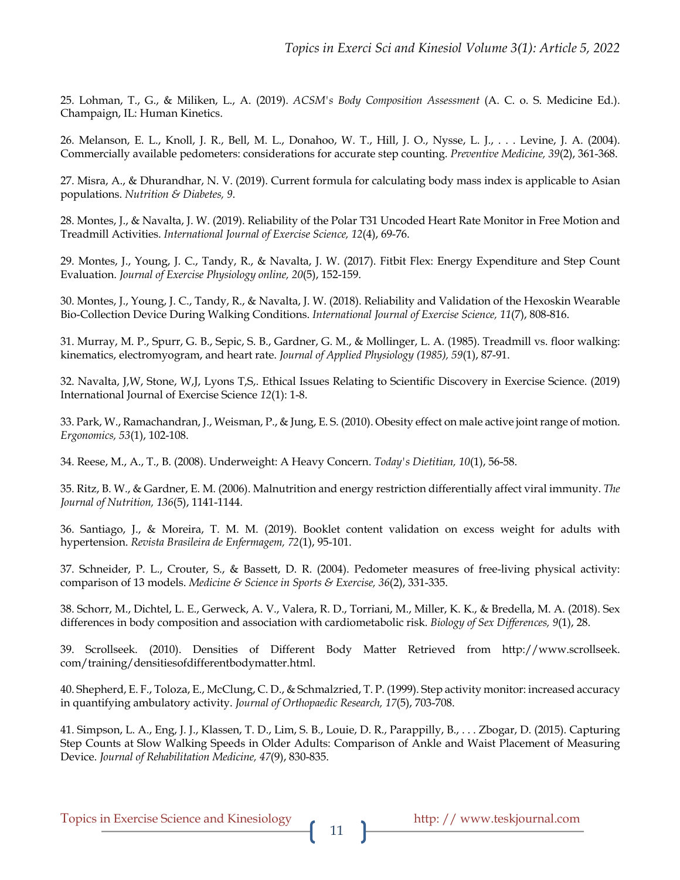25. Lohman, T., G., & Miliken, L., A. (2019). *ACSM's Body Composition Assessment* (A. C. o. S. Medicine Ed.). Champaign, IL: Human Kinetics.

26. Melanson, E. L., Knoll, J. R., Bell, M. L., Donahoo, W. T., Hill, J. O., Nysse, L. J., . . . Levine, J. A. (2004). Commercially available pedometers: considerations for accurate step counting. *Preventive Medicine, 39*(2), 361-368.

27. Misra, A., & Dhurandhar, N. V. (2019). Current formula for calculating body mass index is applicable to Asian populations. *Nutrition & Diabetes, 9*.

28. Montes, J., & Navalta, J. W. (2019). Reliability of the Polar T31 Uncoded Heart Rate Monitor in Free Motion and Treadmill Activities. *International Journal of Exercise Science, 12*(4), 69-76.

29. Montes, J., Young, J. C., Tandy, R., & Navalta, J. W. (2017). Fitbit Flex: Energy Expenditure and Step Count Evaluation. *Journal of Exercise Physiology online, 20*(5), 152-159.

30. Montes, J., Young, J. C., Tandy, R., & Navalta, J. W. (2018). Reliability and Validation of the Hexoskin Wearable Bio-Collection Device During Walking Conditions. *International Journal of Exercise Science, 11*(7), 808-816.

31. Murray, M. P., Spurr, G. B., Sepic, S. B., Gardner, G. M., & Mollinger, L. A. (1985). Treadmill vs. floor walking: kinematics, electromyogram, and heart rate. *Journal of Applied Physiology (1985), 59*(1), 87-91.

32. Navalta, J,W, Stone, W,J, Lyons T,S,. Ethical Issues Relating to Scientific Discovery in Exercise Science. (2019) International Journal of Exercise Science *12*(1): 1-8.

33. Park, W., Ramachandran, J., Weisman, P., & Jung, E. S. (2010). Obesity effect on male active joint range of motion. *Ergonomics, 53*(1), 102-108.

34. Reese, M., A., T., B. (2008). Underweight: A Heavy Concern. *Today's Dietitian, 10*(1), 56-58.

35. Ritz, B. W., & Gardner, E. M. (2006). Malnutrition and energy restriction differentially affect viral immunity. *The Journal of Nutrition, 136*(5), 1141-1144.

36. Santiago, J., & Moreira, T. M. M. (2019). Booklet content validation on excess weight for adults with hypertension. *Revista Brasileira de Enfermagem, 72*(1), 95-101.

37. Schneider, P. L., Crouter, S., & Bassett, D. R. (2004). Pedometer measures of free-living physical activity: comparison of 13 models. *Medicine & Science in Sports & Exercise, 36*(2), 331-335.

38. Schorr, M., Dichtel, L. E., Gerweck, A. V., Valera, R. D., Torriani, M., Miller, K. K., & Bredella, M. A. (2018). Sex differences in body composition and association with cardiometabolic risk. *Biology of Sex Differences, 9*(1), 28.

39. Scrollseek. (2010). Densities of Different Body Matter Retrieved from http://www.scrollseek. com/training/densitiesofdifferentbodymatter.html.

40. Shepherd, E. F., Toloza, E., McClung, C. D., & Schmalzried, T. P. (1999). Step activity monitor: increased accuracy in quantifying ambulatory activity. *Journal of Orthopaedic Research, 17*(5), 703-708.

41. Simpson, L. A., Eng, J. J., Klassen, T. D., Lim, S. B., Louie, D. R., Parappilly, B., . . . Zbogar, D. (2015). Capturing Step Counts at Slow Walking Speeds in Older Adults: Comparison of Ankle and Waist Placement of Measuring Device. *Journal of Rehabilitation Medicine, 47*(9), 830-835.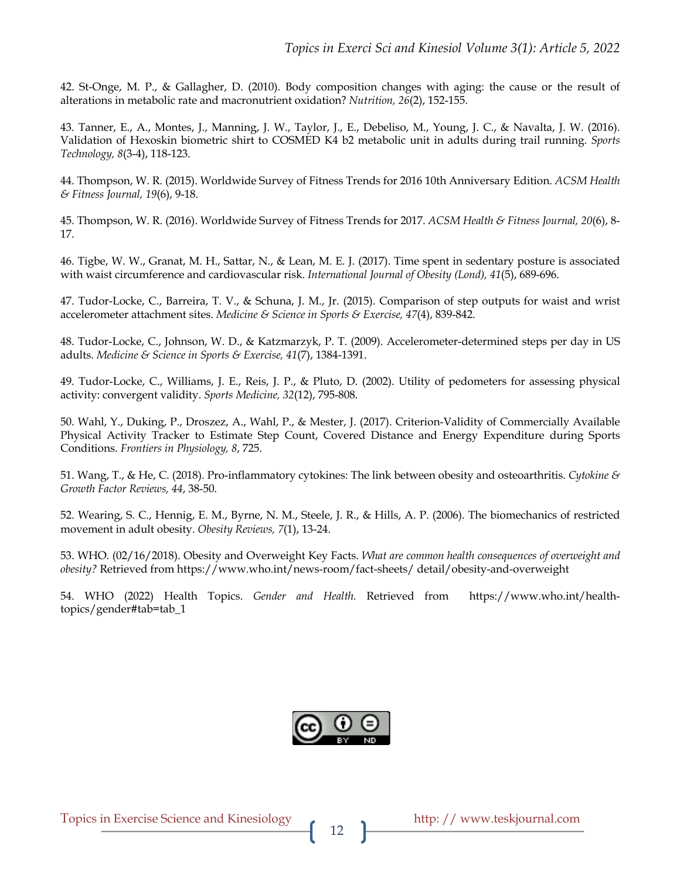42. St-Onge, M. P., & Gallagher, D. (2010). Body composition changes with aging: the cause or the result of alterations in metabolic rate and macronutrient oxidation? *Nutrition, 26*(2), 152-155.

43. Tanner, E., A., Montes, J., Manning, J. W., Taylor, J., E., Debeliso, M., Young, J. C., & Navalta, J. W. (2016). Validation of Hexoskin biometric shirt to COSMED K4 b2 metabolic unit in adults during trail running. *Sports Technology, 8*(3-4), 118-123.

44. Thompson, W. R. (2015). Worldwide Survey of Fitness Trends for 2016 10th Anniversary Edition. *ACSM Health & Fitness Journal, 19*(6), 9-18.

45. Thompson, W. R. (2016). Worldwide Survey of Fitness Trends for 2017. *ACSM Health & Fitness Journal, 20*(6), 8- 17.

46. Tigbe, W. W., Granat, M. H., Sattar, N., & Lean, M. E. J. (2017). Time spent in sedentary posture is associated with waist circumference and cardiovascular risk. *International Journal of Obesity (Lond), 41*(5), 689-696.

47. Tudor-Locke, C., Barreira, T. V., & Schuna, J. M., Jr. (2015). Comparison of step outputs for waist and wrist accelerometer attachment sites. *Medicine & Science in Sports & Exercise, 47*(4), 839-842.

48. Tudor-Locke, C., Johnson, W. D., & Katzmarzyk, P. T. (2009). Accelerometer-determined steps per day in US adults. *Medicine & Science in Sports & Exercise, 41*(7), 1384-1391.

49. Tudor-Locke, C., Williams, J. E., Reis, J. P., & Pluto, D. (2002). Utility of pedometers for assessing physical activity: convergent validity. *Sports Medicine, 32*(12), 795-808.

50. Wahl, Y., Duking, P., Droszez, A., Wahl, P., & Mester, J. (2017). Criterion-Validity of Commercially Available Physical Activity Tracker to Estimate Step Count, Covered Distance and Energy Expenditure during Sports Conditions. *Frontiers in Physiology, 8*, 725.

51. Wang, T., & He, C. (2018). Pro-inflammatory cytokines: The link between obesity and osteoarthritis. *Cytokine & Growth Factor Reviews, 44*, 38-50.

52. Wearing, S. C., Hennig, E. M., Byrne, N. M., Steele, J. R., & Hills, A. P. (2006). The biomechanics of restricted movement in adult obesity. *Obesity Reviews, 7*(1), 13-24.

53. WHO. (02/16/2018). Obesity and Overweight Key Facts. *What are common health consequences of overweight and obesity?* Retrieved from https://www.who.int/news-room/fact-sheets/ detail/obesity-and-overweight

54. WHO (2022) Health Topics. *Gender and Health.* Retrieved from https://www.who.int/healthtopics/gender#tab=tab\_1